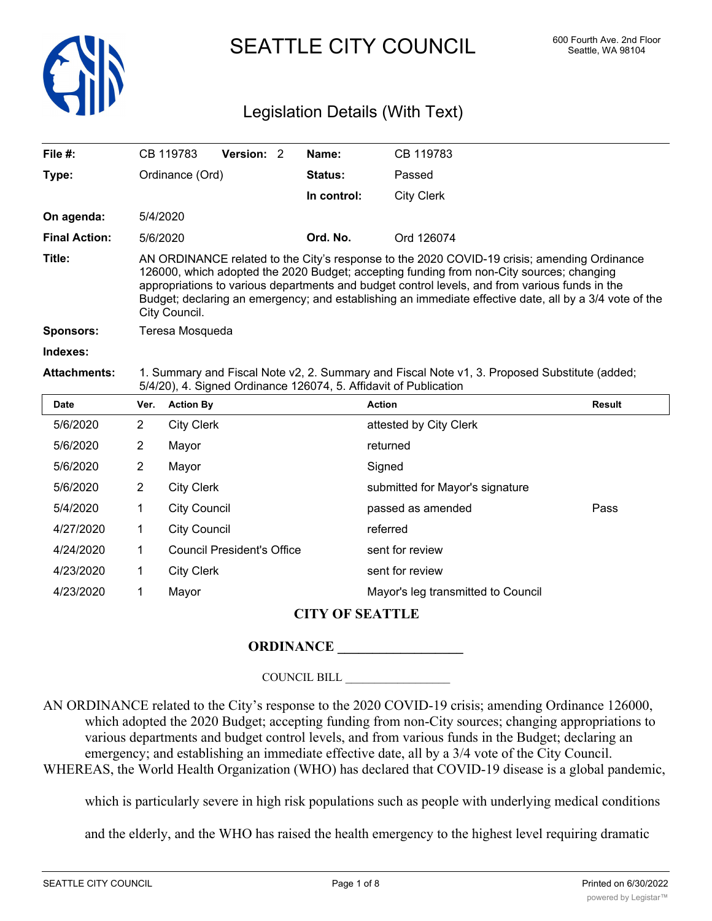

SEATTLE CITY COUNCIL 600 Fourth Ave. 2nd Floor

# Legislation Details (With Text)

| File $#$ :           |                | CB 119783           | Version: 2                        | Name:       | CB 119783                                                                                                                                                                                                                                                                                                                                                                                           |               |
|----------------------|----------------|---------------------|-----------------------------------|-------------|-----------------------------------------------------------------------------------------------------------------------------------------------------------------------------------------------------------------------------------------------------------------------------------------------------------------------------------------------------------------------------------------------------|---------------|
| Type:                |                | Ordinance (Ord)     |                                   | Status:     | Passed                                                                                                                                                                                                                                                                                                                                                                                              |               |
|                      |                |                     |                                   | In control: | <b>City Clerk</b>                                                                                                                                                                                                                                                                                                                                                                                   |               |
| On agenda:           |                | 5/4/2020            |                                   |             |                                                                                                                                                                                                                                                                                                                                                                                                     |               |
| <b>Final Action:</b> |                | 5/6/2020            |                                   | Ord. No.    | Ord 126074                                                                                                                                                                                                                                                                                                                                                                                          |               |
| Title:               |                | City Council.       |                                   |             | AN ORDINANCE related to the City's response to the 2020 COVID-19 crisis; amending Ordinance<br>126000, which adopted the 2020 Budget; accepting funding from non-City sources; changing<br>appropriations to various departments and budget control levels, and from various funds in the<br>Budget; declaring an emergency; and establishing an immediate effective date, all by a 3/4 vote of the |               |
| <b>Sponsors:</b>     |                | Teresa Mosqueda     |                                   |             |                                                                                                                                                                                                                                                                                                                                                                                                     |               |
| Indexes:             |                |                     |                                   |             |                                                                                                                                                                                                                                                                                                                                                                                                     |               |
| <b>Attachments:</b>  |                |                     |                                   |             | 1. Summary and Fiscal Note v2, 2. Summary and Fiscal Note v1, 3. Proposed Substitute (added;<br>5/4/20), 4. Signed Ordinance 126074, 5. Affidavit of Publication                                                                                                                                                                                                                                    |               |
| <b>Date</b>          | Ver.           | <b>Action By</b>    |                                   |             | <b>Action</b>                                                                                                                                                                                                                                                                                                                                                                                       | <b>Result</b> |
| 5/6/2020             | $\overline{2}$ | <b>City Clerk</b>   |                                   |             | attested by City Clerk                                                                                                                                                                                                                                                                                                                                                                              |               |
| 5/6/2020             | 2              | Mayor               |                                   |             | returned                                                                                                                                                                                                                                                                                                                                                                                            |               |
| 5/6/2020             | $\overline{2}$ | Mayor               |                                   |             | Signed                                                                                                                                                                                                                                                                                                                                                                                              |               |
| 5/6/2020             | $\overline{2}$ | <b>City Clerk</b>   |                                   |             | submitted for Mayor's signature                                                                                                                                                                                                                                                                                                                                                                     |               |
| 5/4/2020             | 1              | <b>City Council</b> |                                   |             | passed as amended                                                                                                                                                                                                                                                                                                                                                                                   | Pass          |
| 4/27/2020            | 1              | <b>City Council</b> |                                   |             | referred                                                                                                                                                                                                                                                                                                                                                                                            |               |
| 4/24/2020            | 1              |                     | <b>Council President's Office</b> |             | sent for review                                                                                                                                                                                                                                                                                                                                                                                     |               |
| 4/23/2020            | 1              | <b>City Clerk</b>   |                                   |             | sent for review                                                                                                                                                                                                                                                                                                                                                                                     |               |
| 4/23/2020            | 1              | Mayor               |                                   |             | Mayor's leg transmitted to Council                                                                                                                                                                                                                                                                                                                                                                  |               |
|                      |                |                     |                                   |             |                                                                                                                                                                                                                                                                                                                                                                                                     |               |

## **CITY OF SEATTLE**

### **ORDINANCE**

### COUNCIL BILL \_\_\_\_\_\_\_\_\_\_\_\_\_\_\_\_\_\_

AN ORDINANCE related to the City's response to the 2020 COVID-19 crisis; amending Ordinance 126000, which adopted the 2020 Budget; accepting funding from non-City sources; changing appropriations to various departments and budget control levels, and from various funds in the Budget; declaring an emergency; and establishing an immediate effective date, all by a 3/4 vote of the City Council. WHEREAS, the World Health Organization (WHO) has declared that COVID-19 disease is a global pandemic,

which is particularly severe in high risk populations such as people with underlying medical conditions

and the elderly, and the WHO has raised the health emergency to the highest level requiring dramatic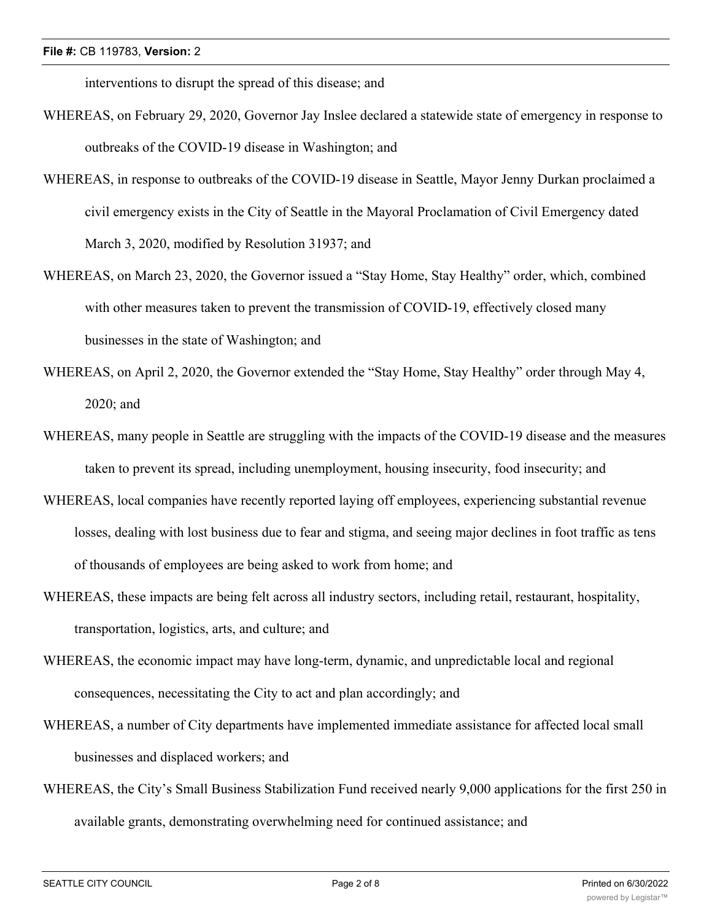interventions to disrupt the spread of this disease; and

- WHEREAS, on February 29, 2020, Governor Jay Inslee declared a statewide state of emergency in response to outbreaks of the COVID-19 disease in Washington; and
- WHEREAS, in response to outbreaks of the COVID-19 disease in Seattle, Mayor Jenny Durkan proclaimed a civil emergency exists in the City of Seattle in the Mayoral Proclamation of Civil Emergency dated March 3, 2020, modified by Resolution 31937; and
- WHEREAS, on March 23, 2020, the Governor issued a "Stay Home, Stay Healthy" order, which, combined with other measures taken to prevent the transmission of COVID-19, effectively closed many businesses in the state of Washington; and
- WHEREAS, on April 2, 2020, the Governor extended the "Stay Home, Stay Healthy" order through May 4, 2020; and
- WHEREAS, many people in Seattle are struggling with the impacts of the COVID-19 disease and the measures taken to prevent its spread, including unemployment, housing insecurity, food insecurity; and
- WHEREAS, local companies have recently reported laying off employees, experiencing substantial revenue losses, dealing with lost business due to fear and stigma, and seeing major declines in foot traffic as tens of thousands of employees are being asked to work from home; and
- WHEREAS, these impacts are being felt across all industry sectors, including retail, restaurant, hospitality, transportation, logistics, arts, and culture; and
- WHEREAS, the economic impact may have long-term, dynamic, and unpredictable local and regional consequences, necessitating the City to act and plan accordingly; and
- WHEREAS, a number of City departments have implemented immediate assistance for affected local small businesses and displaced workers; and
- WHEREAS, the City's Small Business Stabilization Fund received nearly 9,000 applications for the first 250 in available grants, demonstrating overwhelming need for continued assistance; and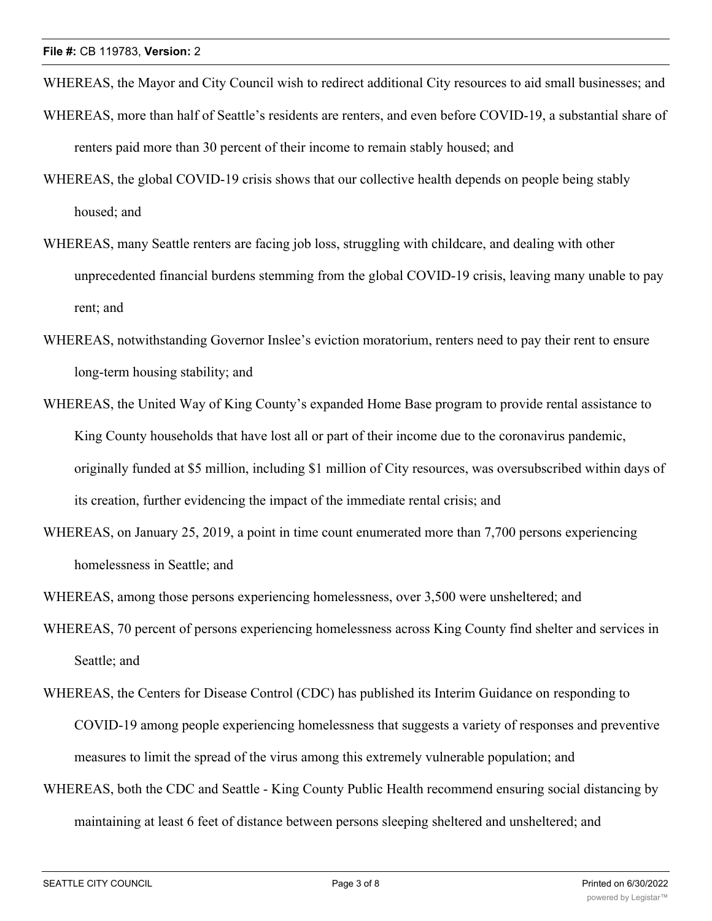WHEREAS, the Mayor and City Council wish to redirect additional City resources to aid small businesses; and

- WHEREAS, more than half of Seattle's residents are renters, and even before COVID-19, a substantial share of renters paid more than 30 percent of their income to remain stably housed; and
- WHEREAS, the global COVID-19 crisis shows that our collective health depends on people being stably housed; and
- WHEREAS, many Seattle renters are facing job loss, struggling with childcare, and dealing with other unprecedented financial burdens stemming from the global COVID-19 crisis, leaving many unable to pay rent; and
- WHEREAS, notwithstanding Governor Inslee's eviction moratorium, renters need to pay their rent to ensure long-term housing stability; and
- WHEREAS, the United Way of King County's expanded Home Base program to provide rental assistance to King County households that have lost all or part of their income due to the coronavirus pandemic, originally funded at \$5 million, including \$1 million of City resources, was oversubscribed within days of its creation, further evidencing the impact of the immediate rental crisis; and
- WHEREAS, on January 25, 2019, a point in time count enumerated more than 7,700 persons experiencing homelessness in Seattle; and
- WHEREAS, among those persons experiencing homelessness, over 3,500 were unsheltered; and
- WHEREAS, 70 percent of persons experiencing homelessness across King County find shelter and services in Seattle; and
- WHEREAS, the Centers for Disease Control (CDC) has published its Interim Guidance on responding to COVID-19 among people experiencing homelessness that suggests a variety of responses and preventive measures to limit the spread of the virus among this extremely vulnerable population; and
- WHEREAS, both the CDC and Seattle King County Public Health recommend ensuring social distancing by maintaining at least 6 feet of distance between persons sleeping sheltered and unsheltered; and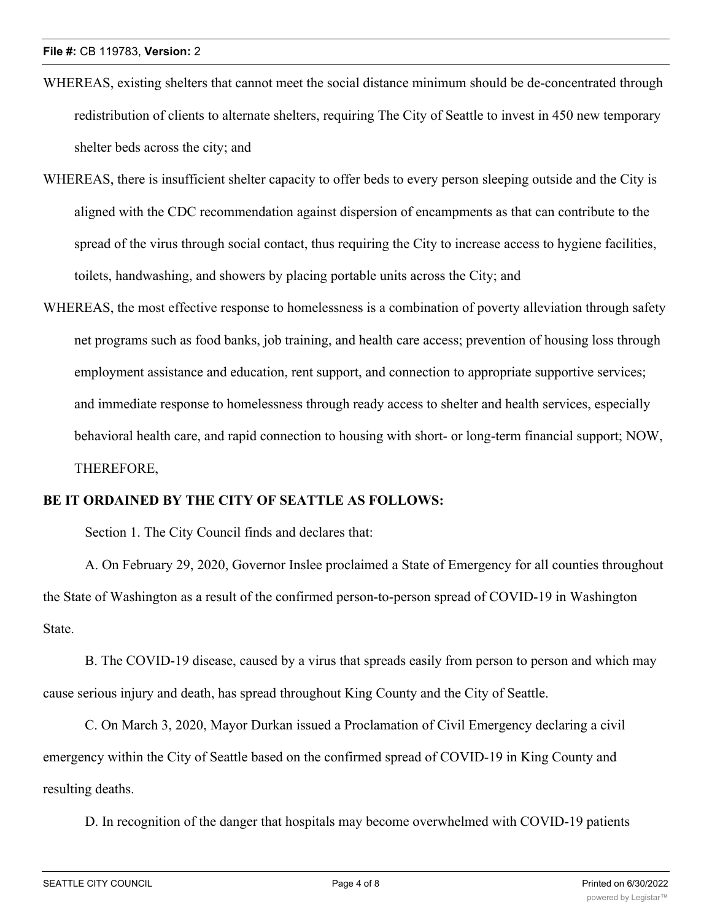- WHEREAS, existing shelters that cannot meet the social distance minimum should be de-concentrated through redistribution of clients to alternate shelters, requiring The City of Seattle to invest in 450 new temporary shelter beds across the city; and
- WHEREAS, there is insufficient shelter capacity to offer beds to every person sleeping outside and the City is aligned with the CDC recommendation against dispersion of encampments as that can contribute to the spread of the virus through social contact, thus requiring the City to increase access to hygiene facilities, toilets, handwashing, and showers by placing portable units across the City; and
- WHEREAS, the most effective response to homelessness is a combination of poverty alleviation through safety net programs such as food banks, job training, and health care access; prevention of housing loss through employment assistance and education, rent support, and connection to appropriate supportive services; and immediate response to homelessness through ready access to shelter and health services, especially behavioral health care, and rapid connection to housing with short- or long-term financial support; NOW, THEREFORE,

### **BE IT ORDAINED BY THE CITY OF SEATTLE AS FOLLOWS:**

Section 1. The City Council finds and declares that:

A. On February 29, 2020, Governor Inslee proclaimed a State of Emergency for all counties throughout the State of Washington as a result of the confirmed person-to-person spread of COVID-19 in Washington State.

B. The COVID-19 disease, caused by a virus that spreads easily from person to person and which may cause serious injury and death, has spread throughout King County and the City of Seattle.

C. On March 3, 2020, Mayor Durkan issued a Proclamation of Civil Emergency declaring a civil emergency within the City of Seattle based on the confirmed spread of COVID-19 in King County and resulting deaths.

D. In recognition of the danger that hospitals may become overwhelmed with COVID-19 patients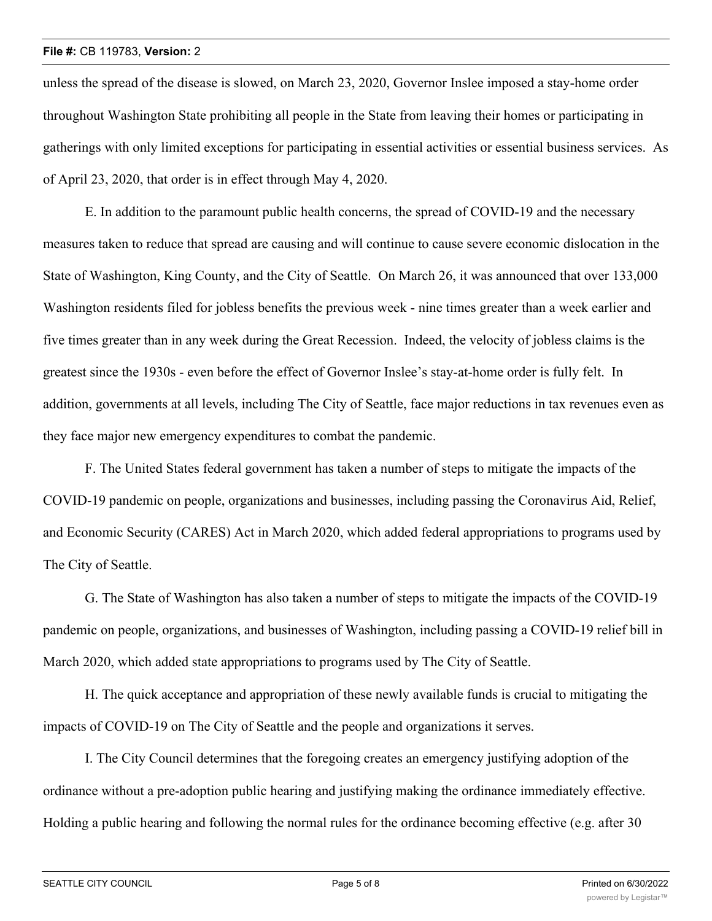#### **File #:** CB 119783, **Version:** 2

unless the spread of the disease is slowed, on March 23, 2020, Governor Inslee imposed a stay-home order throughout Washington State prohibiting all people in the State from leaving their homes or participating in gatherings with only limited exceptions for participating in essential activities or essential business services. As of April 23, 2020, that order is in effect through May 4, 2020.

E. In addition to the paramount public health concerns, the spread of COVID-19 and the necessary measures taken to reduce that spread are causing and will continue to cause severe economic dislocation in the State of Washington, King County, and the City of Seattle. On March 26, it was announced that over 133,000 Washington residents filed for jobless benefits the previous week - nine times greater than a week earlier and five times greater than in any week during the Great Recession. Indeed, the velocity of jobless claims is the greatest since the 1930s - even before the effect of Governor Inslee's stay-at-home order is fully felt. In addition, governments at all levels, including The City of Seattle, face major reductions in tax revenues even as they face major new emergency expenditures to combat the pandemic.

F. The United States federal government has taken a number of steps to mitigate the impacts of the COVID-19 pandemic on people, organizations and businesses, including passing the Coronavirus Aid, Relief, and Economic Security (CARES) Act in March 2020, which added federal appropriations to programs used by The City of Seattle.

G. The State of Washington has also taken a number of steps to mitigate the impacts of the COVID-19 pandemic on people, organizations, and businesses of Washington, including passing a COVID-19 relief bill in March 2020, which added state appropriations to programs used by The City of Seattle.

H. The quick acceptance and appropriation of these newly available funds is crucial to mitigating the impacts of COVID-19 on The City of Seattle and the people and organizations it serves.

I. The City Council determines that the foregoing creates an emergency justifying adoption of the ordinance without a pre-adoption public hearing and justifying making the ordinance immediately effective. Holding a public hearing and following the normal rules for the ordinance becoming effective (e.g. after 30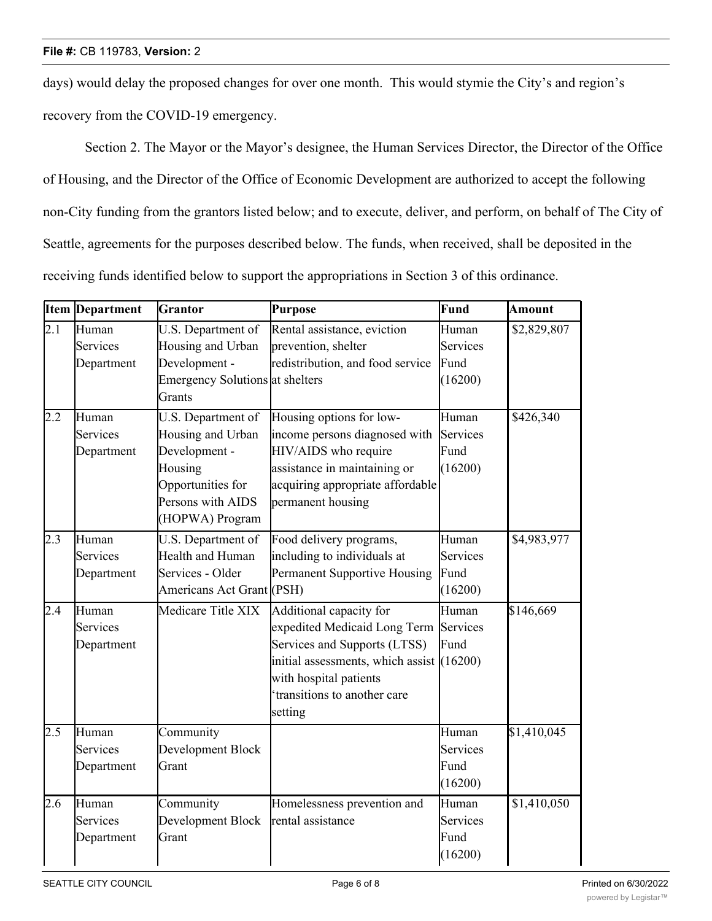days) would delay the proposed changes for over one month. This would stymie the City's and region's recovery from the COVID-19 emergency.

Section 2. The Mayor or the Mayor's designee, the Human Services Director, the Director of the Office of Housing, and the Director of the Office of Economic Development are authorized to accept the following non-City funding from the grantors listed below; and to execute, deliver, and perform, on behalf of The City of Seattle, agreements for the purposes described below. The funds, when received, shall be deposited in the receiving funds identified below to support the appropriations in Section 3 of this ordinance.

|                  | <b>Item Department</b> | Grantor                         | Purpose                                     | Fund            | Amount      |
|------------------|------------------------|---------------------------------|---------------------------------------------|-----------------|-------------|
| 2.1              | Human                  | U.S. Department of              | Rental assistance, eviction                 | Human           | \$2,829,807 |
|                  | Services               | Housing and Urban               | prevention, shelter                         | Services        |             |
|                  | Department             | Development -                   | redistribution, and food service            | Fund            |             |
|                  |                        | Emergency Solutions at shelters |                                             | (16200)         |             |
|                  |                        | Grants                          |                                             |                 |             |
| $2.\overline{2}$ | Human                  | U.S. Department of              | Housing options for low-                    | Human           | \$426,340   |
|                  | Services               | Housing and Urban               | income persons diagnosed with               | <b>Services</b> |             |
|                  | Department             | Development -                   | HIV/AIDS who require                        | Fund            |             |
|                  |                        | Housing                         | assistance in maintaining or                | (16200)         |             |
|                  |                        | Opportunities for               | acquiring appropriate affordable            |                 |             |
|                  |                        | Persons with AIDS               | permanent housing                           |                 |             |
|                  |                        | (HOPWA) Program                 |                                             |                 |             |
| 2.3              | Human                  | U.S. Department of              | Food delivery programs,                     | Human           | \$4,983,977 |
|                  | Services               | Health and Human                | including to individuals at                 | Services        |             |
|                  | Department             | Services - Older                | Permanent Supportive Housing                | Fund            |             |
|                  |                        | Americans Act Grant (PSH)       |                                             | (16200)         |             |
| 2.4              | Human                  | Medicare Title XIX              | Additional capacity for                     | Human           | \$146,669   |
|                  | Services               |                                 | expedited Medicaid Long Term Services       |                 |             |
|                  | Department             |                                 | Services and Supports (LTSS)                | Fund            |             |
|                  |                        |                                 | initial assessments, which assist $(16200)$ |                 |             |
|                  |                        |                                 | with hospital patients                      |                 |             |
|                  |                        |                                 | 'transitions to another care                |                 |             |
|                  |                        |                                 | setting                                     |                 |             |
| 2.5              | Human                  | Community                       |                                             | Human           | \$1,410,045 |
|                  | Services               | Development Block               |                                             | Services        |             |
|                  | Department             | Grant                           |                                             | Fund            |             |
|                  |                        |                                 |                                             | (16200)         |             |
| 2.6              | Human                  | Community                       | Homelessness prevention and                 | Human           | \$1,410,050 |
|                  | Services               | Development Block               | rental assistance                           | Services        |             |
|                  | Department             | Grant                           |                                             | Fund            |             |
|                  |                        |                                 |                                             | (16200)         |             |

Community of the Community of the Community of the Community of the Community of the Community of the Community

Low-

\$1,410,045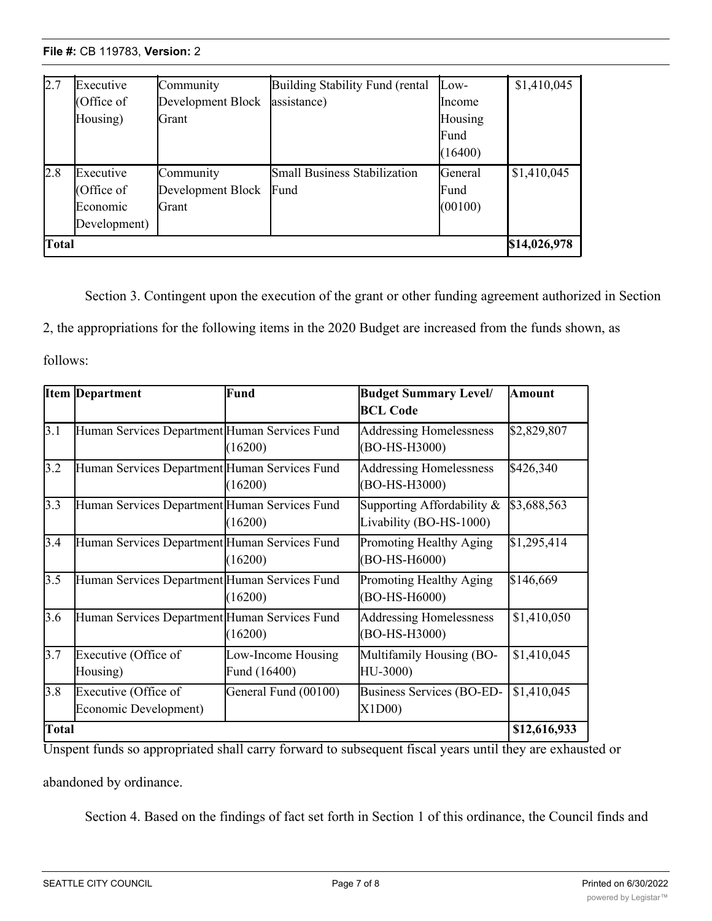**File #: CB 119783, Version: 2** 

| 2.7          | Executive    | Community         | Building Stability Fund (rental     | $Low-$        | \$1,410,045  |
|--------------|--------------|-------------------|-------------------------------------|---------------|--------------|
|              | (Office of   | Development Block | assistance)                         | <b>Income</b> |              |
|              | Housing)     | Grant             |                                     | Housing       |              |
|              |              |                   |                                     | Fund          |              |
|              |              |                   |                                     | (16400)       |              |
| 2.8          | Executive    | Community         | <b>Small Business Stabilization</b> | General       | \$1,410,045  |
|              | (Office of   | Development Block | Fund                                | Fund          |              |
|              | Economic     | Grant             |                                     | (00100)       |              |
|              | Development) |                   |                                     |               |              |
| <b>Total</b> |              |                   |                                     |               | \$14,026,978 |

Section 3. Contingent upon the execution of the grant or other funding agreement authorized in Section 2, the appropriations for the following items in the 2020 Budget are increased from the funds shown, as

follows:

|              | <b>Item Department</b>                        | Fund                               | <b>Budget Summary Level/</b><br><b>BCL Code</b>       | <b>Amount</b> |
|--------------|-----------------------------------------------|------------------------------------|-------------------------------------------------------|---------------|
| 3.1          | Human Services Department Human Services Fund | (16200)                            | <b>Addressing Homelessness</b><br>(BO-HS-H3000)       | \$2,829,807   |
| 3.2          | Human Services Department Human Services Fund | (16200)                            | Addressing Homelessness<br>(BO-HS-H3000)              | \$426,340     |
| 3.3          | Human Services Department Human Services Fund | (16200)                            | Supporting Affordability &<br>Livability (BO-HS-1000) | \$3,688,563   |
| 3.4          | Human Services Department Human Services Fund | (16200)                            | Promoting Healthy Aging<br>(BO-HS-H6000)              | \$1,295,414   |
| 3.5          | Human Services Department Human Services Fund | (16200)                            | Promoting Healthy Aging<br>(BO-HS-H6000)              | \$146,669     |
| 3.6          | Human Services Department Human Services Fund | (16200)                            | Addressing Homelessness<br>(BO-HS-H3000)              | \$1,410,050   |
| 3.7          | Executive (Office of<br>Housing)              | Low-Income Housing<br>Fund (16400) | Multifamily Housing (BO-<br>HU-3000)                  | \$1,410,045   |
| 3.8          | Executive (Office of<br>Economic Development) | General Fund (00100)               | Business Services (BO-ED-<br>X1D00                    | \$1,410,045   |
| <b>Total</b> |                                               |                                    |                                                       | \$12,616,933  |

Unspent funds so appropriated shall carry forward to subsequent fiscal years until they are exhausted or

abandoned by ordinance.

Section 4. Based on the findings of fact set forth in Section 1 of this ordinance, the Council finds and